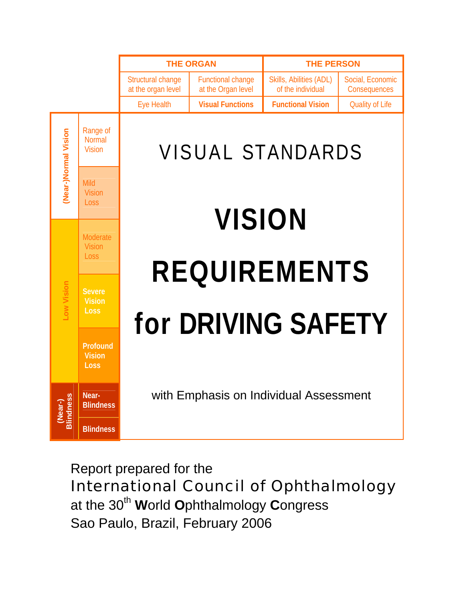

# Report prepared for the International Council of Ophthalmology

at the 30<sup>th</sup> World Ophthalmology Congress Sao Paulo, Brazil, February 2006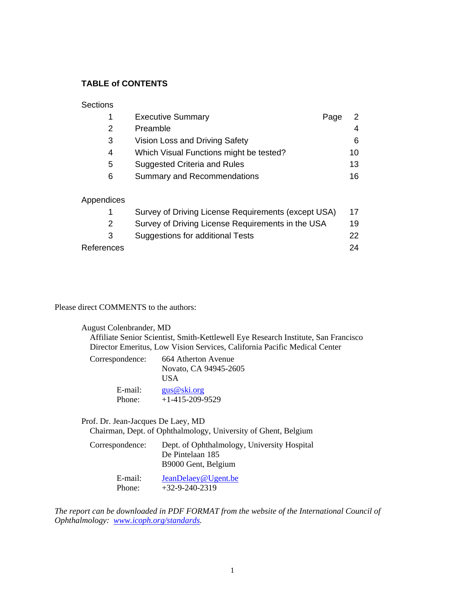# **TABLE of CONTENTS**

#### **Sections**

|   | <b>Executive Summary</b>                | Page | 2  |
|---|-----------------------------------------|------|----|
| 2 | Preamble                                |      | 4  |
| 3 | Vision Loss and Driving Safety          |      | 6  |
| 4 | Which Visual Functions might be tested? |      | 10 |
| 5 | Suggested Criteria and Rules            |      | 13 |
| 6 | <b>Summary and Recommendations</b>      |      | 16 |
|   |                                         |      |    |
|   |                                         |      |    |

#### Appendices

|            | Survey of Driving License Requirements (except USA) | 17  |
|------------|-----------------------------------------------------|-----|
|            | Survey of Driving License Requirements in the USA   | 19  |
|            | Suggestions for additional Tests                    | 22. |
| References |                                                     | 24  |

Please direct COMMENTS to the authors:

| August Colenbrander, MD<br>Affiliate Senior Scientist, Smith-Kettlewell Eye Research Institute, San Francisco<br>Director Emeritus, Low Vision Services, California Pacific Medical Center |                                                     |  |  |  |  |  |  |
|--------------------------------------------------------------------------------------------------------------------------------------------------------------------------------------------|-----------------------------------------------------|--|--|--|--|--|--|
| Correspondence:                                                                                                                                                                            | 664 Atherton Avenue<br>Novato, CA 94945-2605<br>USA |  |  |  |  |  |  |
| $E$ -mail:<br>Phone:                                                                                                                                                                       | gus@ski.org<br>$+1-415-209-9529$                    |  |  |  |  |  |  |

Prof. Dr. Jean-Jacques De Laey, MD

Chairman, Dept. of Ophthalmology, University of Ghent, Belgium

| Correspondence: | Dept. of Ophthalmology, University Hospital                                   |
|-----------------|-------------------------------------------------------------------------------|
|                 | De Pintelaan 185                                                              |
|                 | B9000 Gent, Belgium                                                           |
|                 | $\mathbf{r}$ $\mathbf{r}$ $\mathbf{r}$ $\mathbf{r}$ $\mathbf{r}$ $\mathbf{r}$ |

 E-mail: [JeanDelaey@Ugent.be](mailto:JeanDelaey@Ugent.be) Phone: +32-9-240-2319

*The report can be downloaded in PDF FORMAT from the website of the International Council of Ophthalmology: [www.icoph.org/standards](http://www.icoph.org/standards).*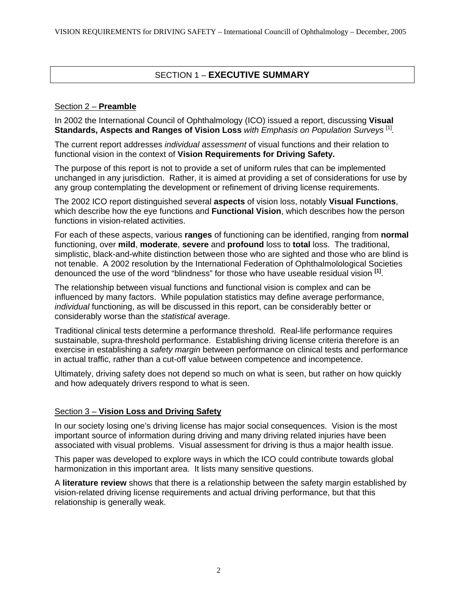# SECTION 1 – **EXECUTIVE SUMMARY**

### Section 2 – **Preamble**

In 2002 the International Council of Ophthalmology (ICO) issued a report, discussing **Visual**  Standards, Aspects and Ranges of Vision Loss *with Emphasis on Population Surveys*<sup>[[1\]](#page-25-0)</sup>.

The current report addresses *individual assessment* of visual functions and their relation to functional vision in the context of **Vision Requirements for Driving Safety.** 

The purpose of this report is not to provide a set of uniform rules that can be implemented unchanged in any jurisdiction. Rather, it is aimed at providing a set of considerations for use by any group contemplating the development or refinement of driving license requirements.

The 2002 ICO report distinguished several **aspects** of vision loss, notably **Visual Functions**, which describe how the eye functions and **Functional Vision**, which describes how the person functions in vision-related activities.

For each of these aspects, various **ranges** of functioning can be identified, ranging from **normal** functioning, over **mild**, **moderate**, **severe** and **profound** loss to **total** loss. The traditional, simplistic, black-and-white distinction between those who are sighted and those who are blind is not tenable. A 2002 resolution by the International Federation of Ophthalmolological Societies denounced the use of the word "blindness" for those who have useable residual vision **[1]**.

The relationship between visual functions and functional vision is complex and can be influenced by many factors. While population statistics may define average performance, *individual* functioning, as will be discussed in this report, can be considerably better or considerably worse than the *statistical* average.

Traditional clinical tests determine a performance threshold. Real-life performance requires sustainable, supra-threshold performance. Establishing driving license criteria therefore is an exercise in establishing a *safety margin* between performance on clinical tests and performance in actual traffic, rather than a cut-off value between competence and incompetence.

Ultimately, driving safety does not depend so much on what is seen, but rather on how quickly and how adequately drivers respond to what is seen.

#### Section 3 – **Vision Loss and Driving Safety**

In our society losing one's driving license has major social consequences. Vision is the most important source of information during driving and many driving related injuries have been associated with visual problems. Visual assessment for driving is thus a major health issue.

This paper was developed to explore ways in which the ICO could contribute towards global harmonization in this important area. It lists many sensitive questions.

A **literature review** shows that there is a relationship between the safety margin established by vision-related driving license requirements and actual driving performance, but that this relationship is generally weak.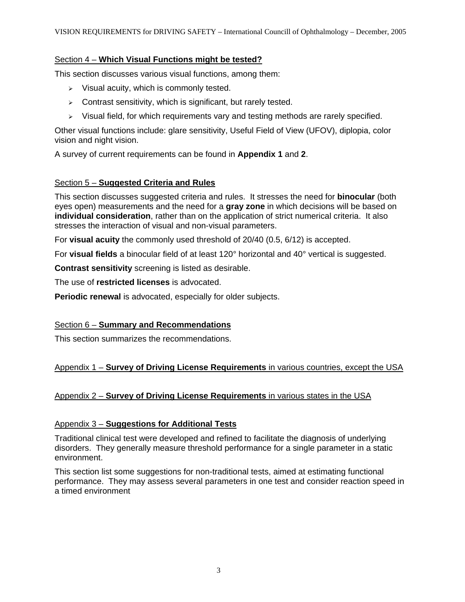#### Section 4 – **Which Visual Functions might be tested?**

This section discusses various visual functions, among them:

- $\triangleright$  Visual acuity, which is commonly tested.
- $\geq$  Contrast sensitivity, which is significant, but rarely tested.
- $\triangleright$  Visual field, for which requirements vary and testing methods are rarely specified.

Other visual functions include: glare sensitivity, Useful Field of View (UFOV), diplopia, color vision and night vision.

A survey of current requirements can be found in **Appendix 1** and **2**.

### Section 5 – **Suggested Criteria and Rules**

This section discusses suggested criteria and rules. It stresses the need for **binocular** (both eyes open) measurements and the need for a **gray zone** in which decisions will be based on **individual consideration**, rather than on the application of strict numerical criteria. It also stresses the interaction of visual and non-visual parameters.

For **visual acuity** the commonly used threshold of 20/40 (0.5, 6/12) is accepted.

For **visual fields** a binocular field of at least 120° horizontal and 40° vertical is suggested.

**Contrast sensitivity** screening is listed as desirable.

The use of **restricted licenses** is advocated.

**Periodic renewal** is advocated, especially for older subjects.

#### Section 6 – **Summary and Recommendations**

This section summarizes the recommendations.

#### Appendix 1 – **Survey of Driving License Requirements** in various countries, except the USA

#### Appendix 2 – **Survey of Driving License Requirements** in various states in the USA

#### Appendix 3 – **Suggestions for Additional Tests**

Traditional clinical test were developed and refined to facilitate the diagnosis of underlying disorders. They generally measure threshold performance for a single parameter in a static environment.

This section list some suggestions for non-traditional tests, aimed at estimating functional performance. They may assess several parameters in one test and consider reaction speed in a timed environment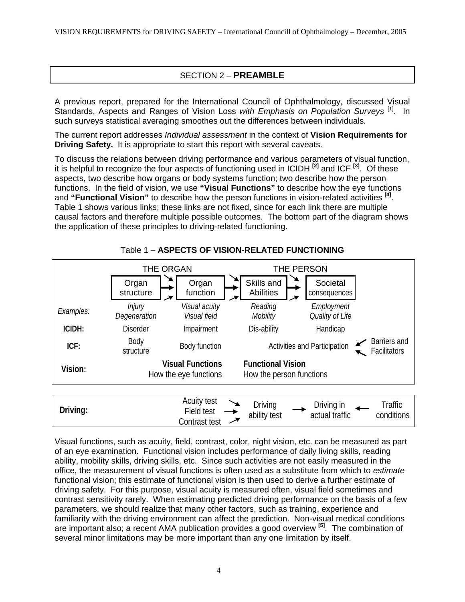# SECTION 2 – **PREAMBLE**

A previous report, prepared for the International Council of Ophthalmology, discussed Visual Standards, Aspects and Ranges of Vision Loss with Emphasis on Population Surveys<sup>[1]</sup>. In such surveys statistical averaging smoothes out the differences between individuals*.* 

The current report addresses *Individual assessment* in the context of **Vision Requirements for Driving Safety.** It is appropriate to start this report with several caveats.

To discuss the relations between driving performance and various parameters of visual function, it is helpful to recognize the four aspects of functioning used in ICIDH **[[2\]](#page-25-1)** and ICF **[\[3\]](#page-25-2)** . Of these aspects, two describe how organs or body systems function; two describe how the person functions. In the field of vision, we use **"Visual Functions"** to describe how the eye functions and **"Functional Vision"** to describe how the person functions in vision-related activities **[\[4\]](#page-25-3)** . Table 1 shows various links; these links are not fixed, since for each link there are multiple causal factors and therefore multiple possible outcomes. The bottom part of the diagram shows the application of these principles to driving-related functioning.



Table 1 – **ASPECTS OF VISION-RELATED FUNCTIONING**

Visual functions, such as acuity, field, contrast, color, night vision, etc. can be measured as part of an eye examination. Functional vision includes performance of daily living skills, reading ability, mobility skills, driving skills, etc. Since such activities are not easily measured in the office, the measurement of visual functions is often used as a substitute from which to *estimate* functional vision; this estimate of functional vision is then used to derive a further estimate of driving safety. For this purpose, visual acuity is measured often, visual field sometimes and contrast sensitivity rarely. When estimating predicted driving performance on the basis of a few parameters, we should realize that many other factors, such as training, experience and familiarity with the driving environment can affect the prediction. Non-visual medical conditions are important also; a recent AMA publication provides a good overview **[[5\]](#page-25-4)** . The combination of several minor limitations may be more important than any one limitation by itself.

Contrast test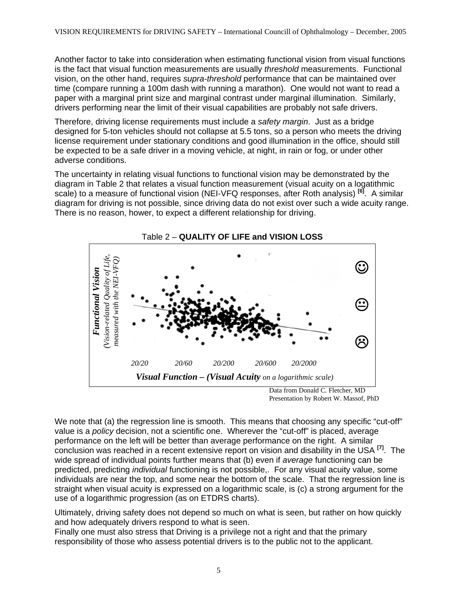Another factor to take into consideration when estimating functional vision from visual functions is the fact that visual function measurements are usually *threshold* measurements. Functional vision, on the other hand, requires *supra-threshold* performance that can be maintained over time (compare running a 100m dash with running a marathon). One would not want to read a paper with a marginal print size and marginal contrast under marginal illumination. Similarly, drivers performing near the limit of their visual capabilities are probably not safe drivers.

Therefore, driving license requirements must include a *safety margin*. Just as a bridge designed for 5-ton vehicles should not collapse at 5.5 tons, so a person who meets the driving license requirement under stationary conditions and good illumination in the office, should still be expected to be a safe driver in a moving vehicle, at night, in rain or fog, or under other adverse conditions.

The uncertainty in relating visual functions to functional vision may be demonstrated by the diagram in Table 2 that relates a visual function measurement (visual acuity on a logatithmic scale) to a measure of functional vision (NEI-VFQ responses, after Roth analysis) **[[6\]](#page-25-5)** . A similar diagram for driving is not possible, since driving data do not exist over such a wide acuity range. There is no reason, hower, to expect a different relationship for driving.



 Data from Donald C. Fletcher, MD Presentation by Robert W. Massof, PhD

We note that (a) the regression line is smooth. This means that choosing any specific "cut-off" value is a *policy* decision, not a scientific one. Wherever the "cut-off" is placed, average performance on the left will be better than average performance on the right. A similar conclusion was reached in a recent extensive report on vision and disability in the USA **[[7\]](#page-25-6)** . The wide spread of individual points further means that (b) even if *average* functioning can be predicted, predicting *individual* functioning is not possible,. For any visual acuity value, some individuals are near the top, and some near the bottom of the scale. That the regression line is straight when visual acuity is expressed on a logarithmic scale, is (c) a strong argument for the use of a logarithmic progression (as on ETDRS charts).

Ultimately, driving safety does not depend so much on what is seen, but rather on how quickly and how adequately drivers respond to what is seen.

Finally one must also stress that Driving is a privilege not a right and that the primary responsibility of those who assess potential drivers is to the public not to the applicant.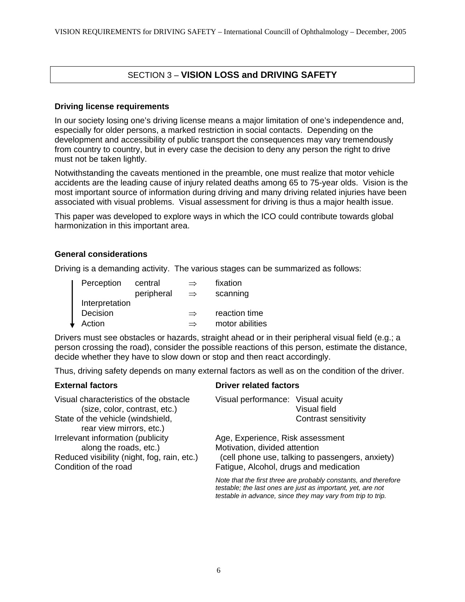# SECTION 3 – **VISION LOSS and DRIVING SAFETY**

#### **Driving license requirements**

In our society losing one's driving license means a major limitation of one's independence and, especially for older persons, a marked restriction in social contacts. Depending on the development and accessibility of public transport the consequences may vary tremendously from country to country, but in every case the decision to deny any person the right to drive must not be taken lightly.

Notwithstanding the caveats mentioned in the preamble, one must realize that motor vehicle accidents are the leading cause of injury related deaths among 65 to 75-year olds. Vision is the most important source of information during driving and many driving related injuries have been associated with visual problems. Visual assessment for driving is thus a major health issue.

This paper was developed to explore ways in which the ICO could contribute towards global harmonization in this important area.

#### **General considerations**

Driving is a demanding activity. The various stages can be summarized as follows:

| Perception     | central    | $\Rightarrow$ | fixation        |
|----------------|------------|---------------|-----------------|
|                | peripheral | $\Rightarrow$ | scanning        |
| Interpretation |            |               |                 |
| Decision       |            | $\Rightarrow$ | reaction time   |
| Action         |            | $\Rightarrow$ | motor abilities |

Drivers must see obstacles or hazards, straight ahead or in their peripheral visual field (e.g.; a person crossing the road), consider the possible reactions of this person, estimate the distance, decide whether they have to slow down or stop and then react accordingly.

Thus, driving safety depends on many external factors as well as on the condition of the driver.

#### **External factors CES CONSERVING DRIVER RESPONSI** EXTERNAL EXTENSION DRIVER THE SET OF STATISTICS

Visual characteristics of the obstacle Visual performance: Visual acuity (size, color, contrast, etc.) Visual field State of the vehicle (windshield, example 2011) State of the vehicle (windshield, rear view mirrors, etc.) Irrelevant information (publicity Age, Experience, Risk assessment along the roads, etc.) Motivation, divided attention Motivation, divided attention Reduced visibility (night, fog, rain, etc.) (cell phone use, talking to passengers, anxiety) Condition of the road Fatigue, Alcohol, drugs and medication *Note that the first three are probably constants, and therefore testable; the last ones are just as important, yet, are not testable in advance, since they may vary from trip to trip.*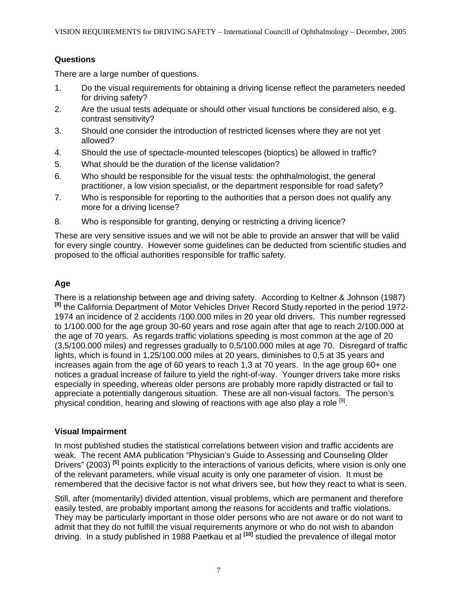# **Questions**

There are a large number of questions.

- 1. Do the visual requirements for obtaining a driving license reflect the parameters needed for driving safety?
- 2. Are the usual tests adequate or should other visual functions be considered also, e.g. contrast sensitivity?
- 3. Should one consider the introduction of restricted licenses where they are not yet allowed?
- 4. Should the use of spectacle-mounted telescopes (bioptics) be allowed in traffic?
- 5. What should be the duration of the license validation?
- 6. Who should be responsible for the visual tests: the ophthalmologist, the general practitioner, a low vision specialist, or the department responsible for road safety?
- 7. Who is responsible for reporting to the authorities that a person does not qualify any more for a driving license?
- 8. Who is responsible for granting, denying or restricting a driving licence?

These are very sensitive issues and we will not be able to provide an answer that will be valid for every single country. However some guidelines can be deducted from scientific studies and proposed to the official authorities responsible for traffic safety.

# **Age**

There is a relationship between age and driving safety. According to Keltner & Johnson (1987) <sup>[\[8\]](#page-25-7)</sup> the California Department of Motor Vehicles Driver Record Study reported in the period 1972-1974 an incidence of 2 accidents /100.000 miles in 20 year old drivers. This number regressed to 1/100.000 for the age group 30-60 years and rose again after that age to reach 2/100.000 at the age of 70 years. As regards traffic violations speeding is most common at the age of 20 (3,5/100.000 miles) and regresses gradually to 0,5/100.000 miles at age 70. Disregard of traffic lights, which is found in 1,25/100.000 miles at 20 years, diminishes to 0,5 at 35 years and increases again from the age of 60 years to reach 1,3 at 70 years. In the age group 60+ one notices a gradual increase of failure to yield the right-of-way. Younger drivers take more risks especially in speeding, whereas older persons are probably more rapidly distracted or fail to appreciate a potentially dangerous situation. These are all non-visual factors. The person's physical condition, hearing and slowing of reactions with age also play a role <sup>[[9\]](#page-25-8)</sup>.

# **Visual Impairment**

In most published studies the statistical correlations between vision and traffic accidents are weak. The recent AMA publication "Physician's Guide to Assessing and Counseling Older Drivers" (2003) **[5]** points explicitly to the interactions of various deficits, where vision is only one of the relevant parameters, while visual acuity is only one parameter of vision. It must be remembered that the decisive factor is not what drivers see, but how they react to what is seen.

Still, after (momentarily) divided attention, visual problems, which are permanent and therefore easily tested, are probably important among the reasons for accidents and traffic violations. They may be particularly important in those older persons who are not aware or do not want to admit that they do not fulfill the visual requirements anymore or who do not wish to abandon driving. In a study published in 1988 Paetkau et al **[\[10\]](#page-25-9)** studied the prevalence of illegal motor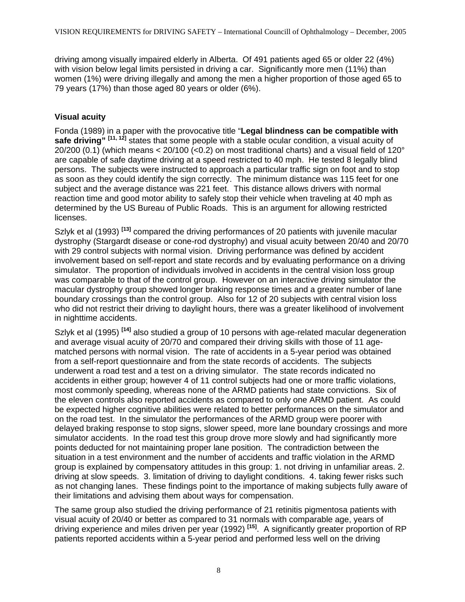driving among visually impaired elderly in Alberta. Of 491 patients aged 65 or older 22 (4%) with vision below legal limits persisted in driving a car. Significantly more men (11%) than women (1%) were driving illegally and among the men a higher proportion of those aged 65 to 79 years (17%) than those aged 80 years or older (6%).

# **Visual acuity**

Fonda (1989) in a paper with the provocative title "**Legal blindness can be compatible with**  safe driving"<sup>[[11,](#page-25-10) [12\]](#page-25-11)</sup> states that some people with a stable ocular condition, a visual acuity of 20/200 (0.1) (which means < 20/100 (< 0.2) on most traditional charts) and a visual field of 120 $^{\circ}$ are capable of safe daytime driving at a speed restricted to 40 mph. He tested 8 legally blind persons. The subjects were instructed to approach a particular traffic sign on foot and to stop as soon as they could identify the sign correctly. The minimum distance was 115 feet for one subject and the average distance was 221 feet. This distance allows drivers with normal reaction time and good motor ability to safely stop their vehicle when traveling at 40 mph as determined by the US Bureau of Public Roads. This is an argument for allowing restricted licenses.

Szlyk et al (1993) **[[13\]](#page-25-12)** compared the driving performances of 20 patients with juvenile macular dystrophy (Stargardt disease or cone-rod dystrophy) and visual acuity between 20/40 and 20/70 with 29 control subjects with normal vision. Driving performance was defined by accident involvement based on self-report and state records and by evaluating performance on a driving simulator. The proportion of individuals involved in accidents in the central vision loss group was comparable to that of the control group. However on an interactive driving simulator the macular dystrophy group showed longer braking response times and a greater number of lane boundary crossings than the control group. Also for 12 of 20 subjects with central vision loss who did not restrict their driving to daylight hours, there was a greater likelihood of involvement in nighttime accidents.

Szlyk et al (1995) <sup>[[14\]](#page-25-13)</sup> also studied a group of 10 persons with age-related macular degeneration and average visual acuity of 20/70 and compared their driving skills with those of 11 agematched persons with normal vision. The rate of accidents in a 5-year period was obtained from a self-report questionnaire and from the state records of accidents. The subjects underwent a road test and a test on a driving simulator. The state records indicated no accidents in either group; however 4 of 11 control subjects had one or more traffic violations, most commonly speeding, whereas none of the ARMD patients had state convictions. Six of the eleven controls also reported accidents as compared to only one ARMD patient. As could be expected higher cognitive abilities were related to better performances on the simulator and on the road test. In the simulator the performances of the ARMD group were poorer with delayed braking response to stop signs, slower speed, more lane boundary crossings and more simulator accidents. In the road test this group drove more slowly and had significantly more points deducted for not maintaining proper lane position. The contradiction between the situation in a test environment and the number of accidents and traffic violation in the ARMD group is explained by compensatory attitudes in this group: 1. not driving in unfamiliar areas. 2. driving at slow speeds. 3. limitation of driving to daylight conditions. 4. taking fewer risks such as not changing lanes. These findings point to the importance of making subjects fully aware of their limitations and advising them about ways for compensation.

The same group also studied the driving performance of 21 retinitis pigmentosa patients with visual acuity of 20/40 or better as compared to 31 normals with comparable age, years of driving experience and miles driven per year (1992) **[[15\]](#page-25-14)** . A significantly greater proportion of RP patients reported accidents within a 5-year period and performed less well on the driving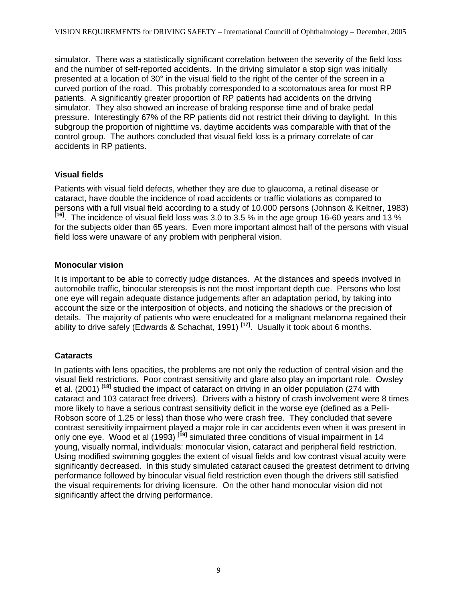simulator. There was a statistically significant correlation between the severity of the field loss and the number of self-reported accidents. In the driving simulator a stop sign was initially presented at a location of 30° in the visual field to the right of the center of the screen in a curved portion of the road. This probably corresponded to a scotomatous area for most RP patients. A significantly greater proportion of RP patients had accidents on the driving simulator. They also showed an increase of braking response time and of brake pedal pressure. Interestingly 67% of the RP patients did not restrict their driving to daylight. In this subgroup the proportion of nighttime vs. daytime accidents was comparable with that of the control group. The authors concluded that visual field loss is a primary correlate of car accidents in RP patients.

### **Visual fields**

Patients with visual field defects, whether they are due to glaucoma, a retinal disease or cataract, have double the incidence of road accidents or traffic violations as compared to persons with a full visual field according to a study of 10.000 persons (Johnson & Keltner, 1983) **[\[16\]](#page-25-15)** . The incidence of visual field loss was 3.0 to 3.5 % in the age group 16-60 years and 13 % for the subjects older than 65 years. Even more important almost half of the persons with visual field loss were unaware of any problem with peripheral vision.

### **Monocular vision**

It is important to be able to correctly judge distances. At the distances and speeds involved in automobile traffic, binocular stereopsis is not the most important depth cue. Persons who lost one eye will regain adequate distance judgements after an adaptation period, by taking into account the size or the interposition of objects, and noticing the shadows or the precision of details. The majority of patients who were enucleated for a malignant melanoma regained their ability to drive safely (Edwards & Schachat, 1991) **[[17\]](#page-25-16)** . Usually it took about 6 months.

# **Cataracts**

In patients with lens opacities, the problems are not only the reduction of central vision and the visual field restrictions. Poor contrast sensitivity and glare also play an important role. Owsley et al. (2001)<sup>[\[18\]](#page-25-17)</sup> studied the impact of cataract on driving in an older population (274 with cataract and 103 cataract free drivers). Drivers with a history of crash involvement were 8 times more likely to have a serious contrast sensitivity deficit in the worse eye (defined as a Pelli-Robson score of 1.25 or less) than those who were crash free. They concluded that severe contrast sensitivity impairment played a major role in car accidents even when it was present in only one eye. Wood et al (1993) <sup>[\[19\]](#page-25-18)</sup> simulated three conditions of visual impairment in 14 young, visually normal, individuals: monocular vision, cataract and peripheral field restriction. Using modified swimming goggles the extent of visual fields and low contrast visual acuity were significantly decreased. In this study simulated cataract caused the greatest detriment to driving performance followed by binocular visual field restriction even though the drivers still satisfied the visual requirements for driving licensure. On the other hand monocular vision did not significantly affect the driving performance.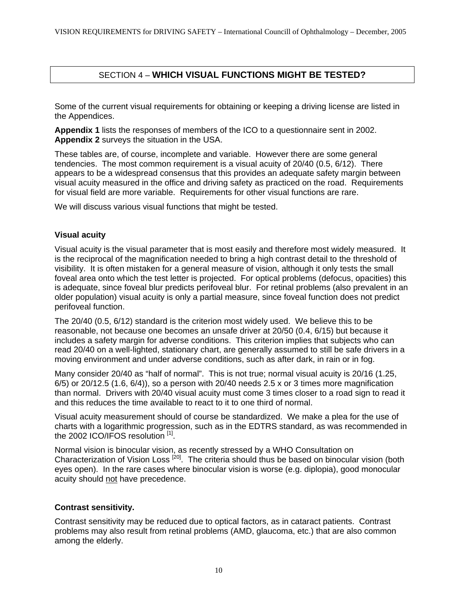# SECTION 4 – **WHICH VISUAL FUNCTIONS MIGHT BE TESTED?**

Some of the current visual requirements for obtaining or keeping a driving license are listed in the Appendices.

**Appendix 1** lists the responses of members of the ICO to a questionnaire sent in 2002. **Appendix 2** surveys the situation in the USA.

These tables are, of course, incomplete and variable. However there are some general tendencies. The most common requirement is a visual acuity of 20/40 (0.5, 6/12). There appears to be a widespread consensus that this provides an adequate safety margin between visual acuity measured in the office and driving safety as practiced on the road. Requirements for visual field are more variable. Requirements for other visual functions are rare.

We will discuss various visual functions that might be tested.

#### **Visual acuity**

Visual acuity is the visual parameter that is most easily and therefore most widely measured. It is the reciprocal of the magnification needed to bring a high contrast detail to the threshold of visibility. It is often mistaken for a general measure of vision, although it only tests the small foveal area onto which the test letter is projected. For optical problems (defocus, opacities) this is adequate, since foveal blur predicts perifoveal blur. For retinal problems (also prevalent in an older population) visual acuity is only a partial measure, since foveal function does not predict perifoveal function.

The 20/40 (0.5, 6/12) standard is the criterion most widely used. We believe this to be reasonable, not because one becomes an unsafe driver at 20/50 (0.4, 6/15) but because it includes a safety margin for adverse conditions. This criterion implies that subjects who can read 20/40 on a well-lighted, stationary chart, are generally assumed to still be safe drivers in a moving environment and under adverse conditions, such as after dark, in rain or in fog.

Many consider 20/40 as "half of normal". This is not true; normal visual acuity is 20/16 (1.25,  $6/5$ ) or 20/12.5 (1.6,  $6/4$ )), so a person with 20/40 needs 2.5 x or 3 times more magnification than normal. Drivers with 20/40 visual acuity must come 3 times closer to a road sign to read it and this reduces the time available to react to it to one third of normal.

Visual acuity measurement should of course be standardized. We make a plea for the use of charts with a logarithmic progression, such as in the EDTRS standard, as was recommended in the 2002 ICO/IFOS resolution [1].

Normal vision is binocular vision, as recently stressed by a WHO Consultation on Characterization of Vision Loss<sup>[[20\]](#page-25-19)</sup>. The criteria should thus be based on binocular vision (both eyes open). In the rare cases where binocular vision is worse (e.g. diplopia), good monocular acuity should not have precedence.

#### **Contrast sensitivity.**

Contrast sensitivity may be reduced due to optical factors, as in cataract patients. Contrast problems may also result from retinal problems (AMD, glaucoma, etc.) that are also common among the elderly.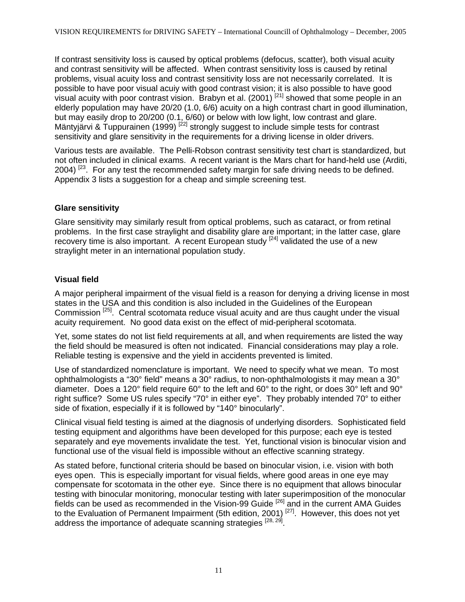If contrast sensitivity loss is caused by optical problems (defocus, scatter), both visual acuity and contrast sensitivity will be affected. When contrast sensitivity loss is caused by retinal problems, visual acuity loss and contrast sensitivity loss are not necessarily correlated. It is possible to have poor visual acuiy with good contrast vision; it is also possible to have good visual acuity with poor contrast vision. Brabyn et al. (2001)  $[21]$  $[21]$  showed that some people in an elderly population may have 20/20 (1.0, 6/6) acuity on a high contrast chart in good illumination, but may easily drop to 20/200 (0.1, 6/60) or below with low light, low contrast and glare. Mäntyjärvi & Tuppurainen (1999)<sup>[\[22\]](#page-25-21)</sup> strongly suggest to include simple tests for contrast sensitivity and glare sensitivity in the requirements for a driving license in older drivers.

Various tests are available. The Pelli-Robson contrast sensitivity test chart is standardized, but not often included in clinical exams. A recent variant is the Mars chart for hand-held use (Arditi,  $2004$ )<sup>[23</sup>. For any test the recommended safety margin for safe driving needs to be defined. Appendix 3 lists a suggestion for a cheap and simple screening test.

### **Glare sensitivity**

Glare sensitivity may similarly result from optical problems, such as cataract, or from retinal problems. In the first case straylight and disability glare are important; in the latter case, glare recovery time is also important. A recent European study  $[24]$  validated the use of a new straylight meter in an international population study.

# **Visual field**

A major peripheral impairment of the visual field is a reason for denying a driving license in most states in the USA and this condition is also included in the Guidelines of the European Commission <sup>[\[25\]](#page-25-24)</sup>. Central scotomata reduce visual acuity and are thus caught under the visual acuity requirement. No good data exist on the effect of mid-peripheral scotomata.

Yet, some states do not list field requirements at all, and when requirements are listed the way the field should be measured is often not indicated. Financial considerations may play a role. Reliable testing is expensive and the yield in accidents prevented is limited.

Use of standardized nomenclature is important. We need to specify what we mean. To most ophthalmologists a "30° field" means a 30° radius, to non-ophthalmologists it may mean a 30° diameter. Does a 120° field require 60° to the left and 60° to the right, or does 30° left and 90° right suffice? Some US rules specify "70° in either eye". They probably intended 70° to either side of fixation, especially if it is followed by "140° binocularly".

Clinical visual field testing is aimed at the diagnosis of underlying disorders. Sophisticated field testing equipment and algorithms have been developed for this purpose; each eye is tested separately and eye movements invalidate the test. Yet, functional vision is binocular vision and functional use of the visual field is impossible without an effective scanning strategy.

As stated before, functional criteria should be based on binocular vision, i.e. vision with both eyes open. This is especially important for visual fields, where good areas in one eye may compensate for scotomata in the other eye. Since there is no equipment that allows binocular testing with binocular monitoring, monocular testing with later superimposition of the monocular fields can be used as recommended in the Vision-99 Guide <sup>[\[26\]](#page-25-25)</sup> and in the current AMA Guides to the Evaluation of Permanent Impairment (5th edition, 2001)<sup>[[27\]](#page-25-26)</sup>. However, this does not yet address the importance of adequate scanning strategies  $^{[28, 29]}$  $^{[28, 29]}$  $^{[28, 29]}$  $^{[28, 29]}$ .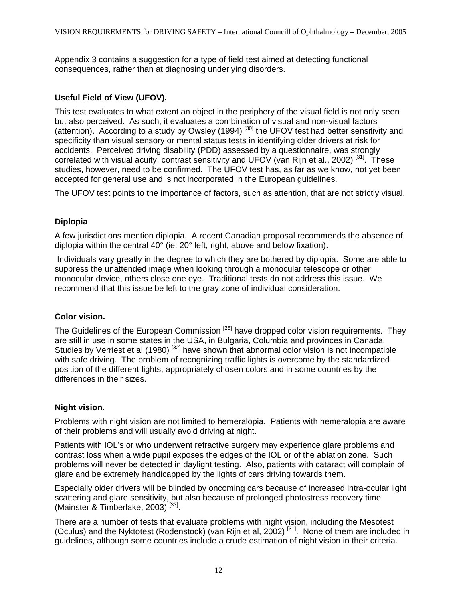Appendix 3 contains a suggestion for a type of field test aimed at detecting functional consequences, rather than at diagnosing underlying disorders.

# **Useful Field of View (UFOV).**

This test evaluates to what extent an object in the periphery of the visual field is not only seen but also perceived. As such, it evaluates a combination of visual and non-visual factors (attention). According to a study by Owsley (1994)<sup>[[30\]](#page-25-29)</sup> the UFOV test had better sensitivity and specificity than visual sensory or mental status tests in identifying older drivers at risk for accidents. Perceived driving disability (PDD) assessed by a questionnaire, was strongly correlated with visual acuity, contrast sensitivity and UFOV (van Rijn et al., 2002)<sup>[\[31\]](#page-25-30)</sup>. These studies, however, need to be confirmed. The UFOV test has, as far as we know, not yet been accepted for general use and is not incorporated in the European guidelines.

The UFOV test points to the importance of factors, such as attention, that are not strictly visual.

### **Diplopia**

A few jurisdictions mention diplopia. A recent Canadian proposal recommends the absence of diplopia within the central 40° (ie: 20° left, right, above and below fixation).

 Individuals vary greatly in the degree to which they are bothered by diplopia. Some are able to suppress the unattended image when looking through a monocular telescope or other monocular device, others close one eye. Traditional tests do not address this issue. We recommend that this issue be left to the gray zone of individual consideration.

#### **Color vision.**

The Guidelines of the European Commission <sup>[25]</sup> have dropped color vision requirements. They are still in use in some states in the USA, in Bulgaria, Columbia and provinces in Canada. Studies by Verriest et al (1980)<sup>[\[32\]](#page-25-31)</sup> have shown that abnormal color vision is not incompatible with safe driving. The problem of recognizing traffic lights is overcome by the standardized position of the different lights, appropriately chosen colors and in some countries by the differences in their sizes.

#### **Night vision.**

Problems with night vision are not limited to hemeralopia. Patients with hemeralopia are aware of their problems and will usually avoid driving at night.

Patients with IOL's or who underwent refractive surgery may experience glare problems and contrast loss when a wide pupil exposes the edges of the IOL or of the ablation zone. Such problems will never be detected in daylight testing. Also, patients with cataract will complain of glare and be extremely handicapped by the lights of cars driving towards them.

Especially older drivers will be blinded by oncoming cars because of increased intra-ocular light scattering and glare sensitivity, but also because of prolonged photostress recovery time (Mainster & Timberlake, 2003)<sup>[[33\]](#page-25-32)</sup>.

There are a number of tests that evaluate problems with night vision, including the Mesotest (Oculus) and the Nyktotest (Rodenstock) (van Rijn et al, 2002) [31]. None of them are included in guidelines, although some countries include a crude estimation of night vision in their criteria.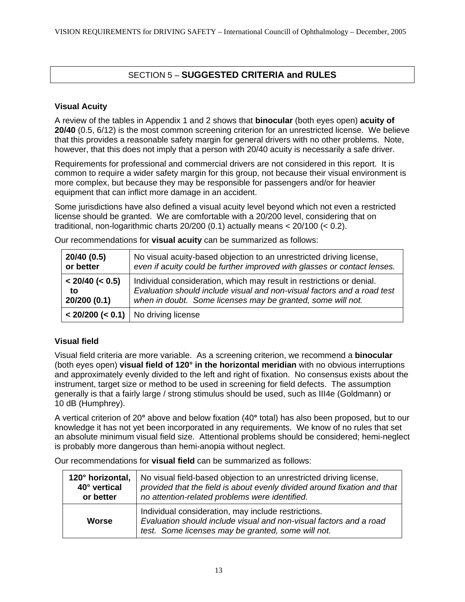# SECTION 5 – **SUGGESTED CRITERIA and RULES**

### **Visual Acuity**

A review of the tables in Appendix 1 and 2 shows that **binocular** (both eyes open) **acuity of 20/40** (0.5, 6/12) is the most common screening criterion for an unrestricted license. We believe that this provides a reasonable safety margin for general drivers with no other problems. Note, however, that this does not imply that a person with 20/40 acuity is necessarily a safe driver.

Requirements for professional and commercial drivers are not considered in this report. It is common to require a wider safety margin for this group, not because their visual environment is more complex, but because they may be responsible for passengers and/or for heavier equipment that can inflict more damage in an accident.

Some jurisdictions have also defined a visual acuity level beyond which not even a restricted license should be granted. We are comfortable with a 20/200 level, considering that on traditional, non-logarithmic charts 20/200 (0.1) actually means < 20/100 (< 0.2).

| 20/40 (0.5)     | No visual acuity-based objection to an unrestricted driving license,     |
|-----------------|--------------------------------------------------------------------------|
| or better       | even if acuity could be further improved with glasses or contact lenses. |
| < 20/40 (< 0.5) | Individual consideration, which may result in restrictions or denial.    |
| to              | Evaluation should include visual and non-visual factors and a road test  |
| 20/200 (0.1)    | when in doubt. Some licenses may be granted, some will not.              |
|                 | $<$ 20/200 ( $<$ 0.1)   No driving license                               |

Our recommendations for **visual acuity** can be summarized as follows:

# **Visual field**

Visual field criteria are more variable. As a screening criterion, we recommend a **binocular**  (both eyes open) **visual field of 120° in the horizontal meridian** with no obvious interruptions and approximately evenly divided to the left and right of fixation. No consensus exists about the instrument, target size or method to be used in screening for field defects. The assumption generally is that a fairly large / strong stimulus should be used, such as III4e (Goldmann) or 10 dB (Humphrey).

A vertical criterion of 20**°** above and below fixation (40**°** total) has also been proposed, but to our knowledge it has not yet been incorporated in any requirements. We know of no rules that set an absolute minimum visual field size. Attentional problems should be considered; hemi-neglect is probably more dangerous than hemi-anopia without neglect.

**120° horizontal, 40° vertical or better**  No visual field-based objection to an unrestricted driving license, *provided that the field is about evenly divided around fixation and that no attention-related problems were identified.* **Worse**  Individual consideration, may include restrictions. *Evaluation should include visual and non-visual factors and a road test. Some licenses may be granted, some will not.* 

Our recommendations for **visual field** can be summarized as follows: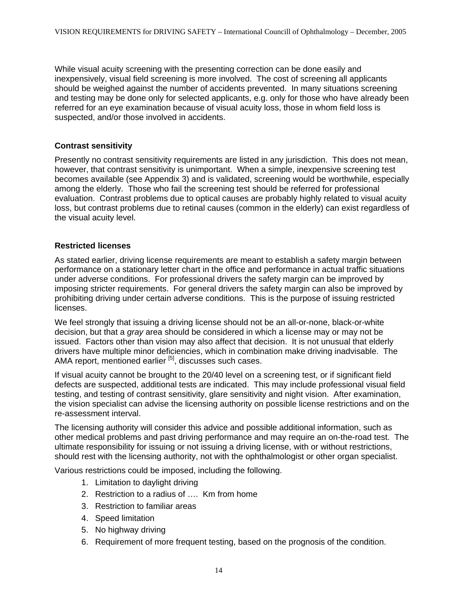While visual acuity screening with the presenting correction can be done easily and inexpensively, visual field screening is more involved. The cost of screening all applicants should be weighed against the number of accidents prevented. In many situations screening and testing may be done only for selected applicants, e.g. only for those who have already been referred for an eye examination because of visual acuity loss, those in whom field loss is suspected, and/or those involved in accidents.

#### **Contrast sensitivity**

Presently no contrast sensitivity requirements are listed in any jurisdiction. This does not mean, however, that contrast sensitivity is unimportant. When a simple, inexpensive screening test becomes available (see Appendix 3) and is validated, screening would be worthwhile, especially among the elderly. Those who fail the screening test should be referred for professional evaluation. Contrast problems due to optical causes are probably highly related to visual acuity loss, but contrast problems due to retinal causes (common in the elderly) can exist regardless of the visual acuity level.

#### **Restricted licenses**

As stated earlier, driving license requirements are meant to establish a safety margin between performance on a stationary letter chart in the office and performance in actual traffic situations under adverse conditions. For professional drivers the safety margin can be improved by imposing stricter requirements. For general drivers the safety margin can also be improved by prohibiting driving under certain adverse conditions. This is the purpose of issuing restricted licenses.

We feel strongly that issuing a driving license should not be an all-or-none, black-or-white decision, but that a *gray* area should be considered in which a license may or may not be issued. Factors other than vision may also affect that decision. It is not unusual that elderly drivers have multiple minor deficiencies, which in combination make driving inadvisable. The AMA report, mentioned earlier <sup>[5]</sup>, discusses such cases.

If visual acuity cannot be brought to the 20/40 level on a screening test, or if significant field defects are suspected, additional tests are indicated. This may include professional visual field testing, and testing of contrast sensitivity, glare sensitivity and night vision. After examination, the vision specialist can advise the licensing authority on possible license restrictions and on the re-assessment interval.

The licensing authority will consider this advice and possible additional information, such as other medical problems and past driving performance and may require an on-the-road test. The ultimate responsibility for issuing or not issuing a driving license, with or without restrictions, should rest with the licensing authority, not with the ophthalmologist or other organ specialist.

Various restrictions could be imposed, including the following.

- 1. Limitation to daylight driving
- 2. Restriction to a radius of …. Km from home
- 3. Restriction to familiar areas
- 4. Speed limitation
- 5. No highway driving
- 6. Requirement of more frequent testing, based on the prognosis of the condition.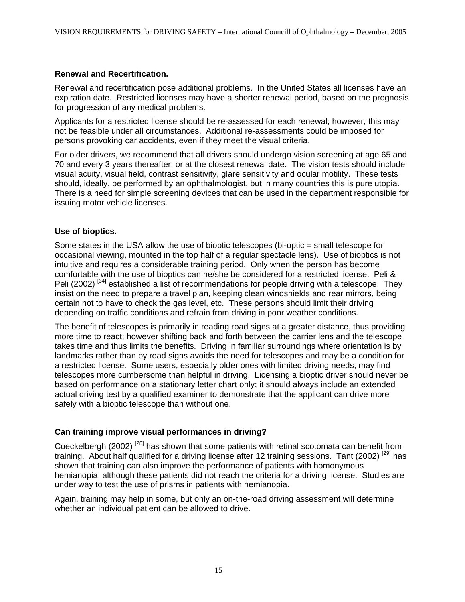#### **Renewal and Recertification.**

Renewal and recertification pose additional problems. In the United States all licenses have an expiration date. Restricted licenses may have a shorter renewal period, based on the prognosis for progression of any medical problems.

Applicants for a restricted license should be re-assessed for each renewal; however, this may not be feasible under all circumstances. Additional re-assessments could be imposed for persons provoking car accidents, even if they meet the visual criteria.

For older drivers, we recommend that all drivers should undergo vision screening at age 65 and 70 and every 3 years thereafter, or at the closest renewal date. The vision tests should include visual acuity, visual field, contrast sensitivity, glare sensitivity and ocular motility. These tests should, ideally, be performed by an ophthalmologist, but in many countries this is pure utopia. There is a need for simple screening devices that can be used in the department responsible for issuing motor vehicle licenses.

### **Use of bioptics.**

Some states in the USA allow the use of bioptic telescopes (bi-optic = small telescope for occasional viewing, mounted in the top half of a regular spectacle lens). Use of bioptics is not intuitive and requires a considerable training period. Only when the person has become comfortable with the use of bioptics can he/she be considered for a restricted license. Peli & Peli (2002)<sup>[[34\]](#page-25-33)</sup> established a list of recommendations for people driving with a telescope. They insist on the need to prepare a travel plan, keeping clean windshields and rear mirrors, being certain not to have to check the gas level, etc. These persons should limit their driving depending on traffic conditions and refrain from driving in poor weather conditions.

The benefit of telescopes is primarily in reading road signs at a greater distance, thus providing more time to react; however shifting back and forth between the carrier lens and the telescope takes time and thus limits the benefits. Driving in familiar surroundings where orientation is by landmarks rather than by road signs avoids the need for telescopes and may be a condition for a restricted license. Some users, especially older ones with limited driving needs, may find telescopes more cumbersome than helpful in driving. Licensing a bioptic driver should never be based on performance on a stationary letter chart only; it should always include an extended actual driving test by a qualified examiner to demonstrate that the applicant can drive more safely with a bioptic telescope than without one.

# **Can training improve visual performances in driving?**

Coeckelbergh (2002)<sup>[28]</sup> has shown that some patients with retinal scotomata can benefit from training. About half qualified for a driving license after 12 training sessions. Tant (2002) <sup>[29]</sup> has shown that training can also improve the performance of patients with homonymous hemianopia, although these patients did not reach the criteria for a driving license. Studies are under way to test the use of prisms in patients with hemianopia.

Again, training may help in some, but only an on-the-road driving assessment will determine whether an individual patient can be allowed to drive.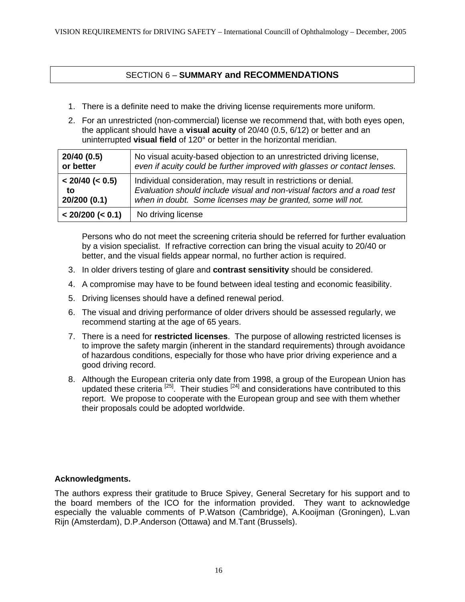# SECTION 6 – **SUMMARY and RECOMMENDATIONS**

- 1. There is a definite need to make the driving license requirements more uniform.
- 2. For an unrestricted (non-commercial) license we recommend that, with both eyes open, the applicant should have a **visual acuity** of 20/40 (0.5, 6/12) or better and an uninterrupted **visual field** of 120° or better in the horizontal meridian.

| 20/40 (0.5)           | No visual acuity-based objection to an unrestricted driving license,     |
|-----------------------|--------------------------------------------------------------------------|
| or better             | even if acuity could be further improved with glasses or contact lenses. |
| $< 20/40$ ( $< 0.5$ ) | Individual consideration, may result in restrictions or denial.          |
| to                    | Evaluation should include visual and non-visual factors and a road test  |
| 20/200(0.1)           | when in doubt. Some licenses may be granted, some will not.              |
| < 20/200 (< 0.1)      | No driving license                                                       |

Persons who do not meet the screening criteria should be referred for further evaluation by a vision specialist. If refractive correction can bring the visual acuity to 20/40 or better, and the visual fields appear normal, no further action is required.

- 3. In older drivers testing of glare and **contrast sensitivity** should be considered.
- 4. A compromise may have to be found between ideal testing and economic feasibility.
- 5. Driving licenses should have a defined renewal period.
- 6. The visual and driving performance of older drivers should be assessed regularly, we recommend starting at the age of 65 years.
- 7. There is a need for **restricted licenses**. The purpose of allowing restricted licenses is to improve the safety margin (inherent in the standard requirements) through avoidance of hazardous conditions, especially for those who have prior driving experience and a good driving record.
- 8. Although the European criteria only date from 1998, a group of the European Union has updated these criteria <sup>[25]</sup>. Their studies <sup>[24]</sup> and considerations have contributed to this report. We propose to cooperate with the European group and see with them whether their proposals could be adopted worldwide.

#### **Acknowledgments.**

The authors express their gratitude to Bruce Spivey, General Secretary for his support and to the board members of the ICO for the information provided. They want to acknowledge especially the valuable comments of P.Watson (Cambridge), A.Kooijman (Groningen), L.van Rijn (Amsterdam), D.P.Anderson (Ottawa) and M.Tant (Brussels).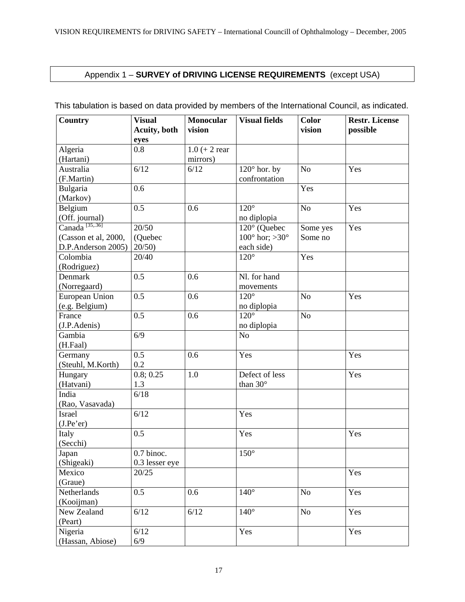# Appendix 1 – **SURVEY of DRIVING LICENSE REQUIREMENTS** (except USA)

| <b>Country</b>        | <b>Visual</b><br><b>Acuity</b> , both | Monocular<br>vision | <b>Visual fields</b>             | <b>Color</b><br>vision | <b>Restr. License</b><br>possible |  |
|-----------------------|---------------------------------------|---------------------|----------------------------------|------------------------|-----------------------------------|--|
|                       | eyes                                  |                     |                                  |                        |                                   |  |
| Algeria               | 0.8                                   | $1.0 (+ 2$ rear     |                                  |                        |                                   |  |
| (Hartani)             |                                       | mirrors)            |                                  |                        |                                   |  |
| Australia             | 6/12                                  | 6/12                | $120^\circ$ hor. by              | N <sub>o</sub>         | Yes                               |  |
| (F.Martin)            |                                       |                     | confrontation                    |                        |                                   |  |
| Bulgaria              | 0.6                                   |                     |                                  | Yes                    |                                   |  |
| (Markov)              |                                       |                     |                                  |                        |                                   |  |
| Belgium               | 0.5                                   | 0.6                 | $120^\circ$                      | N <sub>o</sub>         | Yes                               |  |
| (Off. journal)        |                                       |                     | no diplopia                      |                        |                                   |  |
| Canada $^{[35, .36]}$ | 20/50                                 |                     | 120° (Quebec                     | Some yes               | Yes                               |  |
| (Casson et al, 2000,  | (Quebec                               |                     | $100^{\circ}$ hor; $>30^{\circ}$ | Some no                |                                   |  |
| D.P.Anderson 2005)    | 20/50                                 |                     | each side)                       |                        |                                   |  |
| Colombia              | 20/40                                 |                     | $120^\circ$                      | Yes                    |                                   |  |
| (Rodriguez)           |                                       |                     |                                  |                        |                                   |  |
| Denmark               | $\overline{0.5}$                      | 0.6                 | Nl. for hand                     |                        |                                   |  |
| (Norregaard)          |                                       |                     | movements                        |                        |                                   |  |
| European Union        | 0.5                                   | 0.6                 | $120^\circ$                      | $\rm No$               | Yes                               |  |
| (e.g. Belgium)        |                                       |                     | no diplopia                      |                        |                                   |  |
| France                | 0.5                                   | 0.6                 | $120^\circ$                      | $\rm No$               |                                   |  |
| (J.P.Adenis)          |                                       |                     | no diplopia                      |                        |                                   |  |
| Gambia                | 6/9                                   |                     | N <sub>o</sub>                   |                        |                                   |  |
| (H.Faal)              |                                       |                     |                                  |                        |                                   |  |
| Germany               | 0.5                                   | 0.6                 | Yes                              |                        | Yes                               |  |
| (Steuhl, M.Korth)     | 0.2                                   |                     |                                  |                        |                                   |  |
| Hungary               | 0.8; 0.25                             | 1.0                 | Defect of less                   |                        | Yes                               |  |
| (Hatvani)             | 1.3                                   |                     | than 30°                         |                        |                                   |  |
| India                 | 6/18                                  |                     |                                  |                        |                                   |  |
| (Rao, Vasavada)       |                                       |                     |                                  |                        |                                   |  |
| Israel                | 6/12                                  |                     | Yes                              |                        |                                   |  |
| (J.Pe'er)             |                                       |                     |                                  |                        |                                   |  |
| Italy                 | 0.5                                   |                     | Yes                              |                        | Yes                               |  |
| (Secchi)              |                                       |                     |                                  |                        |                                   |  |
| Japan                 | 0.7 binoc.                            |                     | $150^\circ$                      |                        |                                   |  |
| (Shigeaki)            | 0.3 lesser eye                        |                     |                                  |                        |                                   |  |
| Mexico                | 20/25                                 |                     |                                  |                        | Yes                               |  |
| (Graue)               |                                       |                     |                                  |                        |                                   |  |
| Netherlands           | 0.5                                   | 0.6                 | $140^\circ$                      | No                     | Yes                               |  |
| (Kooijman)            |                                       |                     |                                  |                        |                                   |  |
| New Zealand           | 6/12                                  | $6/12$              | $140^\circ$                      | No                     | Yes                               |  |
| (Peart)               |                                       |                     |                                  |                        |                                   |  |
| Nigeria               | 6/12                                  |                     | Yes                              |                        | Yes                               |  |
| (Hassan, Abiose)      | 6/9                                   |                     |                                  |                        |                                   |  |

This tabulation is based on data provided by members of the International Council, as indicated.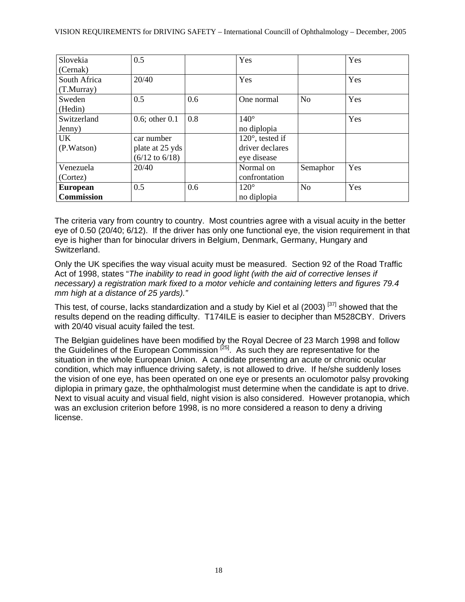| Slovekia          | 0.5                       |     | Yes                     |                | Yes |
|-------------------|---------------------------|-----|-------------------------|----------------|-----|
| (Cernak)          |                           |     |                         |                |     |
| South Africa      | 20/40                     |     | Yes                     |                | Yes |
| (T.Murray)        |                           |     |                         |                |     |
| Sweden            | 0.5                       | 0.6 | One normal              | N <sub>o</sub> | Yes |
| (Hedin)           |                           |     |                         |                |     |
| Switzerland       | $0.6$ ; other $0.1$       | 0.8 | $140^\circ$             |                | Yes |
| Jenny)            |                           |     | no diplopia             |                |     |
| UK.               | car number                |     | $120^\circ$ , tested if |                |     |
| (P.Watson)        | plate at 25 yds           |     | driver declares         |                |     |
|                   | $(6/12 \text{ to } 6/18)$ |     | eye disease             |                |     |
| Venezuela         | 20/40                     |     | Normal on               | Semaphor       | Yes |
| (Cortez)          |                           |     | confrontation           |                |     |
| <b>European</b>   | 0.5                       | 0.6 | $120^\circ$             | N <sub>o</sub> | Yes |
| <b>Commission</b> |                           |     | no diplopia             |                |     |

The criteria vary from country to country. Most countries agree with a visual acuity in the better eye of 0.50 (20/40; 6/12). If the driver has only one functional eye, the vision requirement in that eye is higher than for binocular drivers in Belgium, Denmark, Germany, Hungary and Switzerland.

Only the UK specifies the way visual acuity must be measured. Section 92 of the Road Traffic Act of 1998, states "*The inability to read in good light (with the aid of corrective lenses if necessary) a registration mark fixed to a motor vehicle and containing letters and figures 79.4 mm high at a distance of 25 yards)."*

This test, of course, lacks standardization and a study by Kiel et al (2003)<sup>[[37\]](#page-25-36)</sup> showed that the results depend on the reading difficulty. T174ILE is easier to decipher than M528CBY. Drivers with 20/40 visual acuity failed the test.

The Belgian guidelines have been modified by the Royal Decree of 23 March 1998 and follow the Guidelines of the European Commission <sup>[25]</sup>. As such they are representative for the situation in the whole European Union. A candidate presenting an acute or chronic ocular condition, which may influence driving safety, is not allowed to drive. If he/she suddenly loses the vision of one eye, has been operated on one eye or presents an oculomotor palsy provoking diplopia in primary gaze, the ophthalmologist must determine when the candidate is apt to drive. Next to visual acuity and visual field, night vision is also considered. However protanopia, which was an exclusion criterion before 1998, is no more considered a reason to deny a driving license.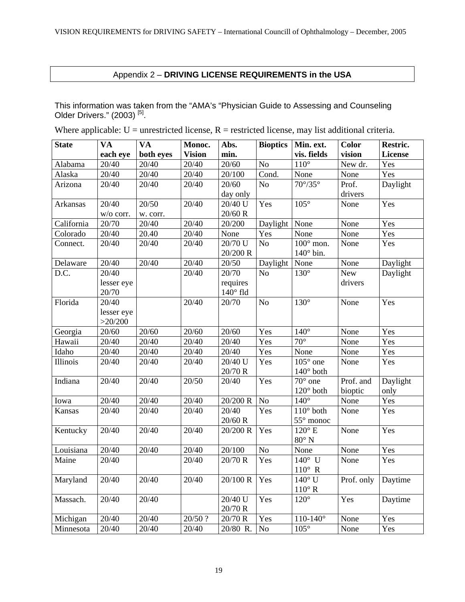# Appendix 2 – **DRIVING LICENSE REQUIREMENTS in the USA**

This information was taken from the "AMA's "Physician Guide to Assessing and Counseling Older Drivers." (2003)<sup>[5]</sup>.

Where applicable:  $U =$  unrestricted license,  $R =$  restricted license, may list additional criteria.

| <b>State</b>      | <b>VA</b>  | <b>VA</b>          | Monoc.        | Abs.            | <b>Bioptics</b> | Min. ext.                     | <b>Color</b> | Restric.         |
|-------------------|------------|--------------------|---------------|-----------------|-----------------|-------------------------------|--------------|------------------|
|                   | each eye   | both eyes          | <b>Vision</b> | min.            |                 | vis. fields                   | vision       | <b>License</b>   |
| Alabama           | 20/40      | 20/40              | 20/40         | 20/60           | No              | $110^\circ$                   | New dr.      | Yes              |
| Alaska            | 20/40      | 20/40              | 20/40         | 20/100          | Cond.           | None                          | None         | $\overline{Yes}$ |
| Arizona           | 20/40      | 20/40              | 20/40         | 20/60           | N <sub>o</sub>  | $70^{\circ}/35^{\circ}$       | Prof.        | Daylight         |
|                   |            |                    |               | day only        |                 |                               | drivers      |                  |
| Arkansas          | 20/40      | 20/50              | 20/40         | $20/40$ U       | Yes             | $105^{\circ}$                 | None         | Yes              |
|                   | w/o corr.  | w. corr.           |               | 20/60 R         |                 |                               |              |                  |
| California        | 20/70      | 20/40              | 20/40         | 20/200          | Daylight        | None                          | None         | Yes              |
| Colorado          | 20/40      | 20.40              | 20/40         | None            | Yes             | None                          | None         | Yes              |
| Connect.          | 20/40      | 20/40              | 20/40         | $20/70$ U       | $\overline{No}$ | $\overline{100^{\circ}}$ mon. | None         | Yes              |
|                   |            |                    |               | 20/200 R        |                 | $140^\circ$ bin.              |              |                  |
| Delaware          | 20/40      | $\overline{20/40}$ | 20/40         | 20/50           | Daylight        | None                          | None         | Daylight         |
| $\overline{D.C.}$ | 20/40      |                    | 20/40         | 20/70           | N <sub>o</sub>  | $130^\circ$                   | <b>New</b>   | Daylight         |
|                   | lesser eye |                    |               | requires        |                 |                               | drivers      |                  |
|                   | 20/70      |                    |               | $140^\circ$ fld |                 |                               |              |                  |
| Florida           | 20/40      |                    | 20/40         | 20/70           | No              | $130^\circ$                   | None         | Yes              |
|                   | lesser eye |                    |               |                 |                 |                               |              |                  |
|                   | >20/200    |                    |               |                 |                 |                               |              |                  |
| Georgia           | 20/60      | 20/60              | 20/60         | 20/60           | Yes             | $140^\circ$                   | None         | Yes              |
| Hawaii            | 20/40      | 20/40              | 20/40         | 20/40           | Yes             | $70^\circ$                    | None         | Yes              |
| Idaho             | 20/40      | 20/40              | 20/40         | 20/40           | Yes             | None                          | None         | Yes              |
| Illinois          | 20/40      | 20/40              | 20/40         | 20/40 U         | Yes             | $105^\circ$ one               | None         | Yes              |
|                   |            |                    |               | 20/70 R         |                 | $140^\circ$ both              |              |                  |
| Indiana           | 20/40      | 20/40              | 20/50         | 20/40           | Yes             | $70^\circ$ one                | Prof. and    | Daylight         |
|                   |            |                    |               |                 |                 | $120^{\circ}$ both            | bioptic      | only             |
| Iowa              | 20/40      | 20/40              | 20/40         | 20/200 R        | No              | $140^\circ$                   | None         | Yes              |
| Kansas            | 20/40      | 20/40              | 20/40         | 20/40           | Yes             | $110^{\circ}$ both            | None         | Yes              |
|                   |            |                    |               | $20/60$ R       |                 | 55° monoc                     |              |                  |
| Kentucky          | 20/40      | 20/40              | 20/40         | 20/200 R        | Yes             | $120^{\circ}$ E               | None         | Yes              |
|                   |            |                    |               |                 |                 | $80^\circ$ N                  |              |                  |
| Louisiana         | 20/40      | 20/40              | 20/40         | 20/100          | $\rm No$        | None                          | None         | Yes              |
| Maine             | 20/40      |                    | 20/40         | 20/70 R         | Yes             | $140^\circ$ U                 | None         | Yes              |
|                   |            |                    |               |                 |                 | $110^{\circ}$ R               |              |                  |
| Maryland          | 20/40      | 20/40              | 20/40         | 20/100 R        | Yes             | $140^\circ$ U                 | Prof. only   | Daytime          |
|                   |            |                    |               |                 |                 | $110^{\circ}$ R               |              |                  |
| Massach.          | 20/40      | 20/40              |               | 20/40 U         | Yes             | $120^\circ$                   | Yes          | Daytime          |
|                   |            |                    |               | 20/70 R         |                 |                               |              |                  |
| Michigan          | 20/40      | 20/40              | 20/50 ?       | 20/70 R         | Yes             | $110 - 140^\circ$             | None         | Yes              |
| Minnesota         | 20/40      | 20/40              | 20/40         | 20/80 R.        | $\rm No$        | $105^\circ$                   | None         | Yes              |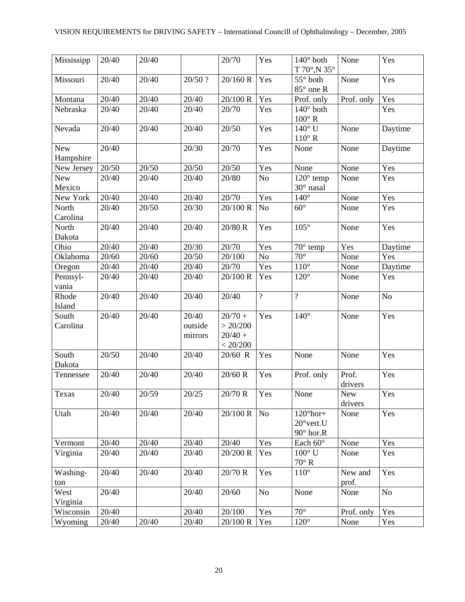| Mississipp              | 20/40          | 20/40 |                             | 20/70                                                     | Yes            | $140^\circ$ both<br>T 70°, N 35°                              | None             | Yes     |
|-------------------------|----------------|-------|-----------------------------|-----------------------------------------------------------|----------------|---------------------------------------------------------------|------------------|---------|
| Missouri                | 20/40          | 20/40 | 20/50 ?                     | 20/160 R                                                  | Yes            | $55^\circ$ both<br>$85^\circ$ one R                           | None             | Yes     |
| Montana                 | 20/40          | 20/40 | 20/40                       | 20/100 R                                                  | Yes            | Prof. only                                                    | Prof. only       | Yes     |
| Nebraska                | 20/40          | 20/40 | 20/40                       | 20/70                                                     | Yes            | $140^\circ$ both<br>$100^\circ$ R                             |                  | Yes     |
| Nevada                  | 20/40          | 20/40 | 20/40                       | 20/50                                                     | Yes            | $140^\circ$ U<br>$110^{\circ}$ R                              | None             | Daytime |
| <b>New</b><br>Hampshire | 20/40          |       | 20/30                       | 20/70                                                     | Yes            | None                                                          | None             | Daytime |
| New Jersey              | 20/50          | 20/50 | 20/50                       | 20/50                                                     | Yes            | None                                                          | None             | Yes     |
| <b>New</b><br>Mexico    | 20/40          | 20/40 | 20/40                       | 20/80                                                     | No             | $120^\circ$ temp<br>30° nasal                                 | None             | Yes     |
| New York                | 20/40          | 20/40 | 20/40                       | 20/70                                                     | Yes            | $140^\circ$                                                   | None             | Yes     |
| North<br>Carolina       | 20/40          | 20/50 | 20/30                       | $\overline{20/100}$ R                                     | No             | $60^\circ$                                                    | None             | Yes     |
| North<br>Dakota         | 20/40          | 20/40 | 20/40                       | 20/80 R                                                   | Yes            | $105^\circ$                                                   | None             | Yes     |
| Ohio                    | 20/40          | 20/40 | 20/30                       | 20/70                                                     | Yes            | 70° temp                                                      | Yes              | Daytime |
| Oklahoma                | 20/60          | 20/60 | 20/50                       | 20/100                                                    | No             | $70^{\circ}$                                                  | None             | Yes     |
| Oregon                  | 20/40          | 20/40 | 20/40                       | 20/70                                                     | Yes            | $110^{\circ}$                                                 | None             | Daytime |
| Pennsyl-<br>vania       | 20/40          | 20/40 | 20/40                       | 20/100 R                                                  | Yes            | $120^\circ$                                                   | None             | Yes     |
| Rhode<br>Island         | 20/40          | 20/40 | 20/40                       | 20/40                                                     | $\overline{?}$ | $\overline{?}$                                                | None             | No      |
| South<br>Carolina       | 20/40          | 20/40 | 20/40<br>outside<br>mirrors | $\frac{1}{20}{70} +$<br>> 20/200<br>$20/40 +$<br>< 20/200 | Yes            | $140^\circ$                                                   | None             | Yes     |
| South<br>Dakota         | 20/50          | 20/40 | 20/40                       | 20/60 R                                                   | Yes            | None                                                          | None             | Yes     |
| Tennessee               | 20/40          | 20/40 | 20/40                       | 20/60 R                                                   | Yes            | Prof. only                                                    | Prof.<br>drivers | Yes     |
| Texas                   | $\sqrt{20/40}$ | 20/59 | 20/25                       | 20/70 R                                                   | Yes            | None                                                          | New<br>drivers   | Yes     |
| Utah                    | 20/40          | 20/40 | 20/40                       | 20/100 R                                                  | N <sub>o</sub> | $120^{\circ}$ hor+<br>$20^{\circ}$ vert.U<br>$90^\circ$ hor.R | None             | Yes     |
| Vermont                 | 20/40          | 20/40 | 20/40                       | 20/40                                                     | Yes            | Each 60°                                                      | None             | Yes     |
| Virginia                | 20/40          | 20/40 | 20/40                       | 20/200 R                                                  | Yes            | $100^{\circ}$ U<br>$70^\circ$ R                               | None             | Yes     |
| Washing-<br>ton         | 20/40          | 20/40 | 20/40                       | 20/70 R                                                   | Yes            | $110^{\circ}$                                                 | New and<br>prof. | Yes     |
| West<br>Virginia        | 20/40          |       | 20/40                       | 20/60                                                     | $\rm No$       | None                                                          | None             | No      |
| Wisconsin               | 20/40          |       | 20/40                       | 20/100                                                    | Yes            | $70^{\circ}$                                                  | Prof. only       | Yes     |
| Wyoming                 | 20/40          | 20/40 | 20/40                       | 20/100 R                                                  | Yes            | $120^{\circ}$                                                 | None             | Yes     |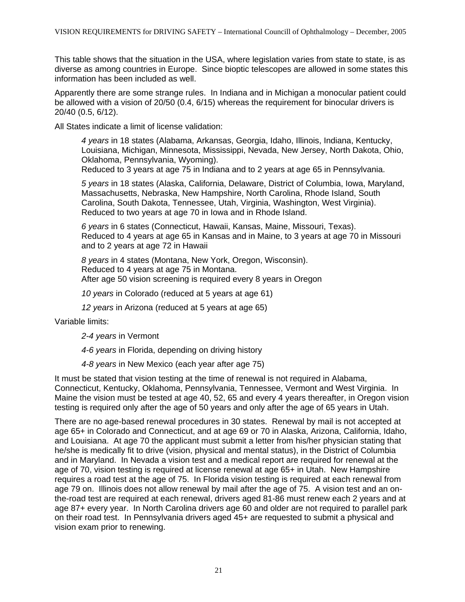This table shows that the situation in the USA, where legislation varies from state to state, is as diverse as among countries in Europe. Since bioptic telescopes are allowed in some states this information has been included as well.

Apparently there are some strange rules. In Indiana and in Michigan a monocular patient could be allowed with a vision of 20/50 (0.4, 6/15) whereas the requirement for binocular drivers is 20/40 (0.5, 6/12).

All States indicate a limit of license validation:

*4 years* in 18 states (Alabama, Arkansas, Georgia, Idaho, Illinois, Indiana, Kentucky, Louisiana, Michigan, Minnesota, Mississippi, Nevada, New Jersey, North Dakota, Ohio, Oklahoma, Pennsylvania, Wyoming).

Reduced to 3 years at age 75 in Indiana and to 2 years at age 65 in Pennsylvania.

*5 years* in 18 states (Alaska, California, Delaware, District of Columbia, Iowa, Maryland, Massachusetts, Nebraska, New Hampshire, North Carolina, Rhode Island, South Carolina, South Dakota, Tennessee, Utah, Virginia, Washington, West Virginia). Reduced to two years at age 70 in Iowa and in Rhode Island.

*6 years* in 6 states (Connecticut, Hawaii, Kansas, Maine, Missouri, Texas). Reduced to 4 years at age 65 in Kansas and in Maine, to 3 years at age 70 in Missouri and to 2 years at age 72 in Hawaii

*8 years* in 4 states (Montana, New York, Oregon, Wisconsin). Reduced to 4 years at age 75 in Montana. After age 50 vision screening is required every 8 years in Oregon

*10 years* in Colorado (reduced at 5 years at age 61)

*12 years* in Arizona (reduced at 5 years at age 65)

Variable limits:

*2-4 years* in Vermont

*4-6 years* in Florida, depending on driving history

*4-8 years* in New Mexico (each year after age 75)

It must be stated that vision testing at the time of renewal is not required in Alabama, Connecticut, Kentucky, Oklahoma, Pennsylvania, Tennessee, Vermont and West Virginia. In Maine the vision must be tested at age 40, 52, 65 and every 4 years thereafter, in Oregon vision testing is required only after the age of 50 years and only after the age of 65 years in Utah.

There are no age-based renewal procedures in 30 states. Renewal by mail is not accepted at age 65+ in Colorado and Connecticut, and at age 69 or 70 in Alaska, Arizona, California, Idaho, and Louisiana. At age 70 the applicant must submit a letter from his/her physician stating that he/she is medically fit to drive (vision, physical and mental status), in the District of Columbia and in Maryland. In Nevada a vision test and a medical report are required for renewal at the age of 70, vision testing is required at license renewal at age 65+ in Utah. New Hampshire requires a road test at the age of 75. In Florida vision testing is required at each renewal from age 79 on. Illinois does not allow renewal by mail after the age of 75. A vision test and an onthe-road test are required at each renewal, drivers aged 81-86 must renew each 2 years and at age 87+ every year. In North Carolina drivers age 60 and older are not required to parallel park on their road test. In Pennsylvania drivers aged 45+ are requested to submit a physical and vision exam prior to renewing.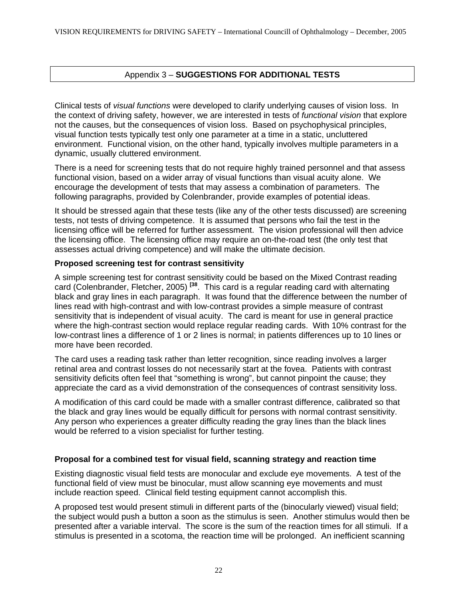# Appendix 3 – **SUGGESTIONS FOR ADDITIONAL TESTS**

Clinical tests of *visual functions* were developed to clarify underlying causes of vision loss. In the context of driving safety, however, we are interested in tests of *functional vision* that explore not the causes, but the consequences of vision loss. Based on psychophysical principles, visual function tests typically test only one parameter at a time in a static, uncluttered environment. Functional vision, on the other hand, typically involves multiple parameters in a dynamic, usually cluttered environment.

There is a need for screening tests that do not require highly trained personnel and that assess functional vision, based on a wider array of visual functions than visual acuity alone. We encourage the development of tests that may assess a combination of parameters. The following paragraphs, provided by Colenbrander, provide examples of potential ideas.

It should be stressed again that these tests (like any of the other tests discussed) are screening tests, not tests of driving competence. It is assumed that persons who fail the test in the licensing office will be referred for further assessment. The vision professional will then advice the licensing office. The licensing office may require an on-the-road test (the only test that assesses actual driving competence) and will make the ultimate decision.

#### **Proposed screening test for contrast sensitivity**

A simple screening test for contrast sensitivity could be based on the Mixed Contrast reading card (Colenbrander, Fletcher, 2005) **[\[38](#page-25-37)**. This card is a regular reading card with alternating black and gray lines in each paragraph. It was found that the difference between the number of lines read with high-contrast and with low-contrast provides a simple measure of contrast sensitivity that is independent of visual acuity. The card is meant for use in general practice where the high-contrast section would replace regular reading cards. With 10% contrast for the low-contrast lines a difference of 1 or 2 lines is normal; in patients differences up to 10 lines or more have been recorded.

The card uses a reading task rather than letter recognition, since reading involves a larger retinal area and contrast losses do not necessarily start at the fovea. Patients with contrast sensitivity deficits often feel that "something is wrong", but cannot pinpoint the cause; they appreciate the card as a vivid demonstration of the consequences of contrast sensitivity loss.

A modification of this card could be made with a smaller contrast difference, calibrated so that the black and gray lines would be equally difficult for persons with normal contrast sensitivity. Any person who experiences a greater difficulty reading the gray lines than the black lines would be referred to a vision specialist for further testing.

#### **Proposal for a combined test for visual field, scanning strategy and reaction time**

Existing diagnostic visual field tests are monocular and exclude eye movements. A test of the functional field of view must be binocular, must allow scanning eye movements and must include reaction speed. Clinical field testing equipment cannot accomplish this.

A proposed test would present stimuli in different parts of the (binocularly viewed) visual field; the subject would push a button a soon as the stimulus is seen. Another stimulus would then be presented after a variable interval. The score is the sum of the reaction times for all stimuli. If a stimulus is presented in a scotoma, the reaction time will be prolonged. An inefficient scanning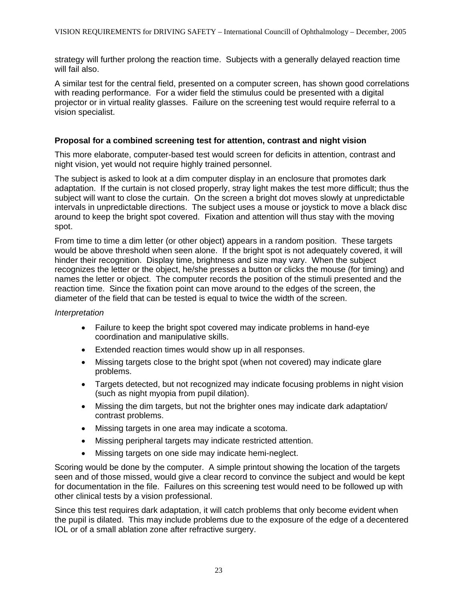strategy will further prolong the reaction time. Subjects with a generally delayed reaction time will fail also.

A similar test for the central field, presented on a computer screen, has shown good correlations with reading performance. For a wider field the stimulus could be presented with a digital projector or in virtual reality glasses. Failure on the screening test would require referral to a vision specialist.

#### **Proposal for a combined screening test for attention, contrast and night vision**

This more elaborate, computer-based test would screen for deficits in attention, contrast and night vision, yet would not require highly trained personnel.

The subject is asked to look at a dim computer display in an enclosure that promotes dark adaptation. If the curtain is not closed properly, stray light makes the test more difficult; thus the subject will want to close the curtain. On the screen a bright dot moves slowly at unpredictable intervals in unpredictable directions. The subject uses a mouse or joystick to move a black disc around to keep the bright spot covered. Fixation and attention will thus stay with the moving spot.

From time to time a dim letter (or other object) appears in a random position. These targets would be above threshold when seen alone. If the bright spot is not adequately covered, it will hinder their recognition. Display time, brightness and size may vary. When the subject recognizes the letter or the object, he/she presses a button or clicks the mouse (for timing) and names the letter or object. The computer records the position of the stimuli presented and the reaction time. Since the fixation point can move around to the edges of the screen, the diameter of the field that can be tested is equal to twice the width of the screen.

#### *Interpretation*

- Failure to keep the bright spot covered may indicate problems in hand-eye coordination and manipulative skills.
- Extended reaction times would show up in all responses.
- Missing targets close to the bright spot (when not covered) may indicate glare problems.
- Targets detected, but not recognized may indicate focusing problems in night vision (such as night myopia from pupil dilation).
- Missing the dim targets, but not the brighter ones may indicate dark adaptation/ contrast problems.
- Missing targets in one area may indicate a scotoma.
- Missing peripheral targets may indicate restricted attention.
- Missing targets on one side may indicate hemi-neglect.

Scoring would be done by the computer. A simple printout showing the location of the targets seen and of those missed, would give a clear record to convince the subject and would be kept for documentation in the file. Failures on this screening test would need to be followed up with other clinical tests by a vision professional.

Since this test requires dark adaptation, it will catch problems that only become evident when the pupil is dilated. This may include problems due to the exposure of the edge of a decentered IOL or of a small ablation zone after refractive surgery.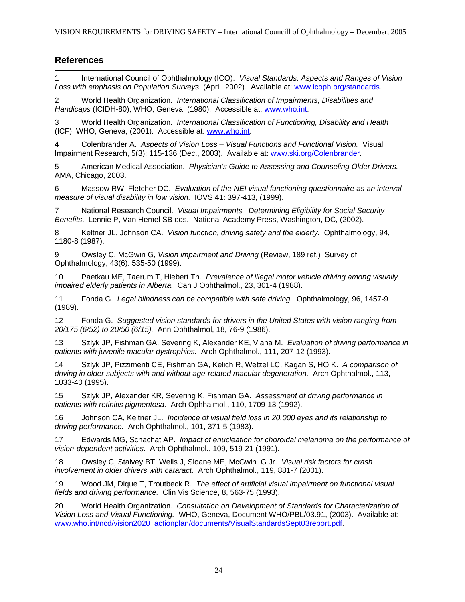# **References**

 $\overline{\phantom{a}}$ 1 International Council of Ophthalmology (ICO). *Visual Standards, Aspects and Ranges of Vision Loss with emphasis on Population Surveys.* (April, 2002). Available at: [www.icoph.org/standards](http://www.icoph.org/standards).

2 World Health Organization. *International Classification of Impairments, Disabilities and Handicaps* (ICIDH-80), WHO, Geneva, (1980). Accessible at: [www.who.int](http://www.who.int/).

3 World Health Organization. *International Classification of Functioning, Disability and Health* (ICF), WHO, Geneva, (2001). Accessible at: [www.who.int.](http://www.who.int/)

4 Colenbrander A. *Aspects of Vision Loss – Visual Functions and Functional Vision.* Visual Impairment Research, 5(3): 115-136 (Dec., 2003). Available at: [www.ski.org/Colenbrander.](http://www.ski.org/Colenbrander)

5 American Medical Association. *Physician's Guide to Assessing and Counseling Older Drivers.* AMA, Chicago, 2003.

6 Massow RW, Fletcher DC. *Evaluation of the NEI visual functioning questionnaire as an interval measure of visual disability in low vision.* IOVS 41: 397-413, (1999).

7 National Research Council. *Visual Impairments. Determining Eligibility for Social Security Benefits*. Lennie P, Van Hemel SB eds.National Academy Press, Washington, DC, (2002).

8 Keltner JL, Johnson CA. *Vision function, driving safety and the elderly.* Ophthalmology, 94, 1180-8 (1987).

9 Owsley C, McGwin G, *Vision impairment and Driving* (Review, 189 ref.) Survey of Ophthalmology, 43(6): 535-50 (1999).

10 Paetkau ME, Taerum T, Hiebert Th. *Prevalence of illegal motor vehicle driving among visually impaired elderly patients in Alberta.* Can J Ophthalmol., 23, 301-4 (1988).

11 Fonda G. *Legal blindness can be compatible with safe driving.* Ophthalmology, 96, 1457-9 (1989).

12 Fonda G. *Suggested vision standards for drivers in the United States with vision ranging from 20/175 (6/52) to 20/50 (6/15).* Ann Ophthalmol, 18, 76-9 (1986).

13 Szlyk JP, Fishman GA, Severing K, Alexander KE, Viana M. *Evaluation of driving performance in patients with juvenile macular dystrophies.* Arch Ophthalmol., 111, 207-12 (1993).

14 Szlyk JP, Pizzimenti CE, Fishman GA, Kelich R, Wetzel LC, Kagan S, HO K. *A comparison of driving in older subjects with and without age-related macular degeneration.* Arch Ophthalmol., 113, 1033-40 (1995).

15 Szlyk JP, Alexander KR, Severing K, Fishman GA. *Assessment of driving performance in patients with retinitis pigmentosa.* Arch Ophhalmol., 110, 1709-13 (1992).

16 Johnson CA, Keltner JL. *Incidence of visual field loss in 20.000 eyes and its relationship to driving performance.* Arch Ophthalmol., 101, 371-5 (1983).

17 Edwards MG, Schachat AP. *Impact of enucleation for choroidal melanoma on the performance of vision-dependent activities.* Arch Ophthalmol., 109, 519-21 (1991).

18 Owsley C, Stalvey BT, Wells J, Sloane ME, McGwin G Jr. *Visual risk factors for crash involvement in older drivers with cataract.* Arch Ophthalmol., 119, 881-7 (2001).

19 Wood JM, Dique T, Troutbeck R. *The effect of artificial visual impairment on functional visual fields and driving performance.* Clin Vis Science, 8, 563-75 (1993).

20 World Health Organization. *Consultation on Development of Standards for Characterization of Vision Loss and Visual Functioning.* WHO, Geneva, Document WHO/PBL/03.91, (2003). Available at: [www.who.int/ncd/vision2020\\_actionplan/documents/VisualStandardsSept03report.pdf.](http://www.who.int/ncd/vision2020_actionplan/documents/VisualStandardsSept03report.pdf)